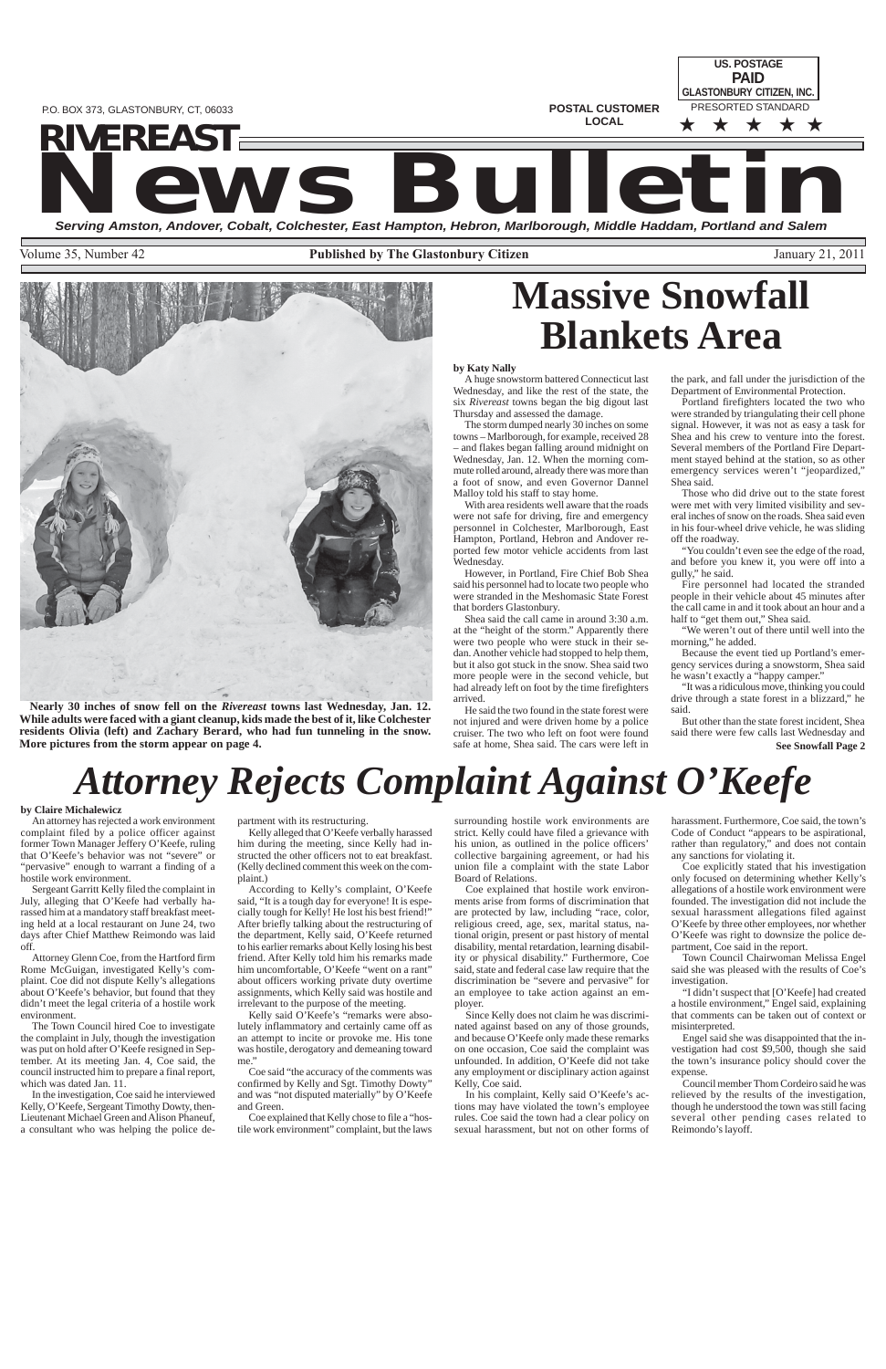**POSTAL CUSTOMER LOCAL**

**US. POSTAGE** PRESORTED STANDARD ★ ★ ★ ★ ★ **PAID GLASTONBURY CITIZEN, INC.**

# **NEWS BULLET AND SERVICE AND SERVICE AND SERVICE AND SERVICE AND SERVICE AND SERVICE AND SERVICE AND SERVICE AND SERVICE AND SERVICE AND SALEM SERVICE AND SALEM SERVICE AND SALEM SERVICE AND SALEM SERVICE AND SALEM SERVICE RIVEREASTSTEREASTS**

Volume 35, Number 42 **Published by The Glastonbury Citizen** January 21, 2011



P.O. BOX 373, GLASTONBURY, CT, 06033

## *Attorney Rejects Complaint Against O'Keefe*

#### **by Claire Michalewicz**

An attorney has rejected a work environment complaint filed by a police officer against former Town Manager Jeffery O'Keefe, ruling that O'Keefe's behavior was not "severe" or "pervasive" enough to warrant a finding of a hostile work environment.

Sergeant Garritt Kelly filed the complaint in July, alleging that O'Keefe had verbally harassed him at a mandatory staff breakfast meeting held at a local restaurant on June 24, two days after Chief Matthew Reimondo was laid off.

Attorney Glenn Coe, from the Hartford firm Rome McGuigan, investigated Kelly's complaint. Coe did not dispute Kelly's allegations about O'Keefe's behavior, but found that they didn't meet the legal criteria of a hostile work

environment.

The Town Council hired Coe to investigate the complaint in July, though the investigation was put on hold after O'Keefe resigned in September. At its meeting Jan. 4, Coe said, the council instructed him to prepare a final report, which was dated Jan. 11.

Coe explained that hostile work environments arise from forms of discrimination that are protected by law, including "race, color, religious creed, age, sex, marital status, national origin, present or past history of mental disability, mental retardation, learning disability or physical disability." Furthermore, Coe said, state and federal case law require that the discrimination be "severe and pervasive" for an employee to take action against an employer

In the investigation, Coe said he interviewed Kelly, O'Keefe, Sergeant Timothy Dowty, then-Lieutenant Michael Green and Alison Phaneuf, a consultant who was helping the police de-

partment with its restructuring.

Kelly alleged that O'Keefe verbally harassed him during the meeting, since Kelly had instructed the other officers not to eat breakfast. (Kelly declined comment this week on the complaint.)

According to Kelly's complaint, O'Keefe said, "It is a tough day for everyone! It is especially tough for Kelly! He lost his best friend!" After briefly talking about the restructuring of the department, Kelly said, O'Keefe returned to his earlier remarks about Kelly losing his best friend. After Kelly told him his remarks made him uncomfortable, O'Keefe "went on a rant" about officers working private duty overtime assignments, which Kelly said was hostile and irrelevant to the purpose of the meeting.

Kelly said O'Keefe's "remarks were absolutely inflammatory and certainly came off as an attempt to incite or provoke me. His tone was hostile, derogatory and demeaning toward me."

Coe said "the accuracy of the comments was confirmed by Kelly and Sgt. Timothy Dowty" and was "not disputed materially" by O'Keefe and Green.

Coe explained that Kelly chose to file a "hostile work environment" complaint, but the laws

surrounding hostile work environments are strict. Kelly could have filed a grievance with his union, as outlined in the police officers' collective bargaining agreement, or had his union file a complaint with the state Labor Board of Relations.

Since Kelly does not claim he was discriminated against based on any of those grounds, and because O'Keefe only made these remarks on one occasion, Coe said the complaint was unfounded. In addition, O'Keefe did not take any employment or disciplinary action against Kelly, Coe said.

"You couldn't even see the edge of the road, and before you knew it, you were off into a gully," he said.

In his complaint, Kelly said O'Keefe's actions may have violated the town's employee rules. Coe said the town had a clear policy on sexual harassment, but not on other forms of harassment. Furthermore, Coe said, the town's Code of Conduct "appears to be aspirational, rather than regulatory," and does not contain any sanctions for violating it.

**See Snowfall Page 2** But other than the state forest incident, Shea said there were few calls last Wednesday and

Coe explicitly stated that his investigation only focused on determining whether Kelly's allegations of a hostile work environment were founded. The investigation did not include the sexual harassment allegations filed against O'Keefe by three other employees, nor whether O'Keefe was right to downsize the police department, Coe said in the report.

Town Council Chairwoman Melissa Engel said she was pleased with the results of Coe's investigation.

"I didn't suspect that [O'Keefe] had created hostile environment." Engel said, explaining that comments can be taken out of context or misinterpreted.

Engel said she was disappointed that the investigation had cost \$9,500, though she said the town's insurance policy should cover the expense.

Council member Thom Cordeiro said he was relieved by the results of the investigation, though he understood the town was still facing several other pending cases related to Reimondo's layoff.

## **Massive Snowfall Blankets Area**

**Nearly 30 inches of snow fell on the** *Rivereast* **towns last Wednesday, Jan. 12. While adults were faced with a giant cleanup, kids made the best of it, like Colchester residents Olivia (left) and Zachary Berard, who had fun tunneling in the snow. More pictures from the storm appear on page 4.**

#### **by Katy Nally**

A huge snowstorm battered Connecticut last Wednesday, and like the rest of the state, the six *Rivereast* towns began the big digout last Thursday and assessed the damage.

The storm dumped nearly 30 inches on some towns – Marlborough, for example, received 28 – and flakes began falling around midnight on Wednesday, Jan. 12. When the morning commute rolled around, already there was more than a foot of snow, and even Governor Dannel Malloy told his staff to stay home.

With area residents well aware that the roads were not safe for driving, fire and emergency personnel in Colchester, Marlborough, East Hampton, Portland, Hebron and Andover reported few motor vehicle accidents from last Wednesday.

However, in Portland, Fire Chief Bob Shea said his personnel had to locate two people who were stranded in the Meshomasic State Forest that borders Glastonbury.

Shea said the call came in around 3:30 a.m. at the "height of the storm." Apparently there were two people who were stuck in their sedan. Another vehicle had stopped to help them, but it also got stuck in the snow. Shea said two more people were in the second vehicle, but had already left on foot by the time firefighters arrived.

He said the two found in the state forest were not injured and were driven home by a police cruiser. The two who left on foot were found safe at home, Shea said. The cars were left in

the park, and fall under the jurisdiction of the Department of Environmental Protection.

Portland firefighters located the two who were stranded by triangulating their cell phone signal. However, it was not as easy a task for Shea and his crew to venture into the forest. Several members of the Portland Fire Department stayed behind at the station, so as other emergency services weren't "jeopardized," Shea said.

Those who did drive out to the state forest were met with very limited visibility and several inches of snow on the roads. Shea said even in his four-wheel drive vehicle, he was sliding off the roadway.

Fire personnel had located the stranded people in their vehicle about 45 minutes after the call came in and it took about an hour and a half to "get them out," Shea said.

"We weren't out of there until well into the morning," he added.

Because the event tied up Portland's emergency services during a snowstorm, Shea said he wasn't exactly a "happy camper."

"It was a ridiculous move, thinking you could drive through a state forest in a blizzard," he said.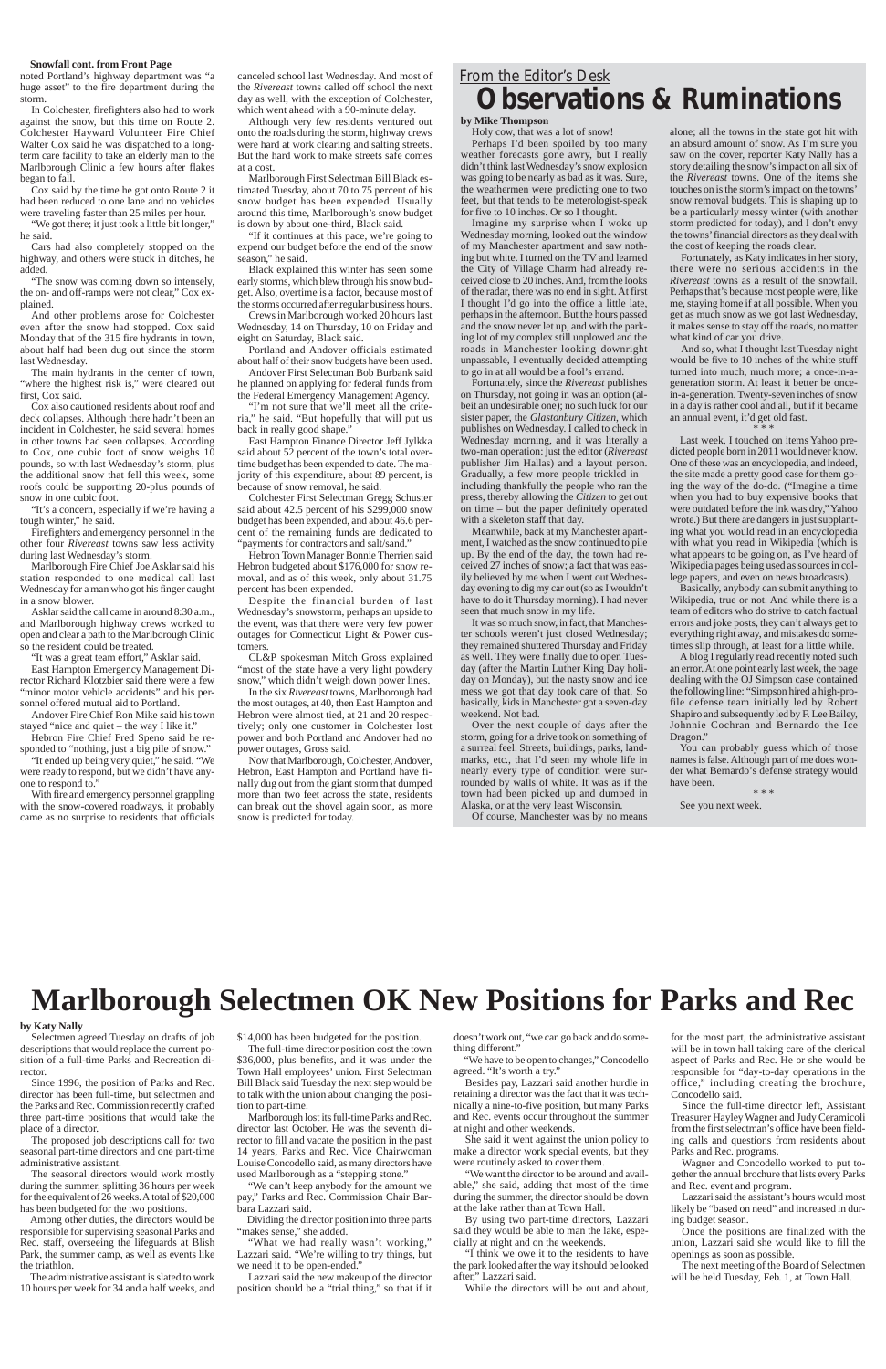#### **Snowfall cont. from Front Page**

noted Portland's highway department was "a huge asset" to the fire department during the storm.

In Colchester, firefighters also had to work against the snow, but this time on Route 2. Colchester Hayward Volunteer Fire Chief Walter Cox said he was dispatched to a longterm care facility to take an elderly man to the Marlborough Clinic a few hours after flakes began to fall.

Cox said by the time he got onto Route 2 it had been reduced to one lane and no vehicles were traveling faster than 25 miles per hour.

"We got there; it just took a little bit longer," he said.

Cars had also completely stopped on the highway, and others were stuck in ditches, he added.

"The snow was coming down so intensely, the on- and off-ramps were not clear," Cox explained.

And other problems arose for Colchester even after the snow had stopped. Cox said Monday that of the 315 fire hydrants in town, about half had been dug out since the storm last Wednesday.

The main hydrants in the center of town, "where the highest risk is," were cleared out first, Cox said.

Cox also cautioned residents about roof and deck collapses. Although there hadn't been an incident in Colchester, he said several homes in other towns had seen collapses. According to Cox, one cubic foot of snow weighs 10 pounds, so with last Wednesday's storm, plus the additional snow that fell this week, some roofs could be supporting 20-plus pounds of snow in one cubic foot.

"It's a concern, especially if we're having a tough winter," he said.

Firefighters and emergency personnel in the other four *Rivereast* towns saw less activity during last Wednesday's storm.

Marlborough Fire Chief Joe Asklar said his station responded to one medical call last Wednesday for a man who got his finger caught in a snow blower.

Asklar said the call came in around 8:30 a.m., and Marlborough highway crews worked to open and clear a path to the Marlborough Clinic so the resident could be treated.

"It was a great team effort," Asklar said.

East Hampton Emergency Management Director Richard Klotzbier said there were a few "minor motor vehicle accidents" and his personnel offered mutual aid to Portland.

Andover Fire Chief Ron Mike said his town stayed "nice and quiet – the way I like it."

Hebron Fire Chief Fred Speno said he responded to "nothing, just a big pile of snow."

"It ended up being very quiet," he said. "We were ready to respond, but we didn't have anyone to respond to."

With fire and emergency personnel grappling with the snow-covered roadways, it probably came as no surprise to residents that officials

canceled school last Wednesday. And most of the *Rivereast* towns called off school the next day as well, with the exception of Colchester, which went ahead with a 90-minute delay.

Although very few residents ventured out onto the roads during the storm, highway crews were hard at work clearing and salting streets. But the hard work to make streets safe comes at a cost.

Marlborough First Selectman Bill Black estimated Tuesday, about 70 to 75 percent of his snow budget has been expended. Usually around this time, Marlborough's snow budget is down by about one-third, Black said.

> Fortunately, since the *Rivereast* publishes on Thursday, not going in was an option (albeit an undesirable one); no such luck for our sister paper, the *Glastonbury Citizen*, which publishes on Wednesday. I called to check in Wednesday morning, and it was literally a two-man operation: just the editor (*Rivereast* publisher Jim Hallas) and a layout person. Gradually, a few more people trickled in – including thankfully the people who ran the press, thereby allowing the *Citizen* to get out on time – but the paper definitely operated with a skeleton staff that day.

"If it continues at this pace, we're going to expend our budget before the end of the snow season," he said.

Black explained this winter has seen some early storms, which blew through his snow budget. Also, overtime is a factor, because most of the storms occurred after regular business hours.

Crews in Marlborough worked 20 hours last Wednesday, 14 on Thursday, 10 on Friday and eight on Saturday, Black said.

Portland and Andover officials estimated about half of their snow budgets have been used. Andover First Selectman Bob Burbank said

he planned on applying for federal funds from the Federal Emergency Management Agency.

"I'm not sure that we'll meet all the criteria," he said. "But hopefully that will put us back in really good shape."

East Hampton Finance Director Jeff Jylkka said about 52 percent of the town's total overtime budget has been expended to date. The majority of this expenditure, about 89 percent, is because of snow removal, he said.

Colchester First Selectman Gregg Schuster said about 42.5 percent of his \$299,000 snow budget has been expended, and about 46.6 percent of the remaining funds are dedicated to "payments for contractors and salt/sand."

Hebron Town Manager Bonnie Therrien said Hebron budgeted about \$176,000 for snow removal, and as of this week, only about 31.75 percent has been expended.

Despite the financial burden of last Wednesday's snowstorm, perhaps an upside to the event, was that there were very few power outages for Connecticut Light & Power customers.

CL&P spokesman Mitch Gross explained "most of the state have a very light powdery snow," which didn't weigh down power lines.

In the six *Rivereast* towns, Marlborough had the most outages, at 40, then East Hampton and Hebron were almost tied, at 21 and 20 respectively; only one customer in Colchester lost power and both Portland and Andover had no power outages, Gross said.

Now that Marlborough, Colchester, Andover, Hebron, East Hampton and Portland have finally dug out from the giant storm that dumped more than two feet across the state, residents can break out the shovel again soon, as more snow is predicted for today.

## *From the Editor's Desk* **Observations & Ruminations**

**by Mike Thompson**

Holy cow, that was a lot of snow! Perhaps I'd been spoiled by too many weather forecasts gone awry, but I really didn't think last Wednesday's snow explosion was going to be nearly as bad as it was. Sure, the weathermen were predicting one to two feet, but that tends to be meterologist-speak for five to 10 inches. Or so I thought.

Imagine my surprise when I woke up Wednesday morning, looked out the window of my Manchester apartment and saw nothing but white. I turned on the TV and learned the City of Village Charm had already received close to 20 inches. And, from the looks of the radar, there was no end in sight. At first I thought I'd go into the office a little late, perhaps in the afternoon. But the hours passed and the snow never let up, and with the parking lot of my complex still unplowed and the roads in Manchester looking downright unpassable, I eventually decided attempting to go in at all would be a fool's errand.

Dividing the director position into three parts "makes sense," she added.

"What we had really wasn't working," Lazzari said. "We're willing to try things, but we need it to be open-ended."

Meanwhile, back at my Manchester apartment, I watched as the snow continued to pile up. By the end of the day, the town had received 27 inches of snow; a fact that was easily believed by me when I went out Wednesday evening to dig my car out (so as I wouldn't have to do it Thursday morning). I had never seen that much snow in my life.

It was so much snow, in fact, that Manchester schools weren't just closed Wednesday; they remained shuttered Thursday and Friday as well. They were finally due to open Tuesday (after the Martin Luther King Day holiday on Monday), but the nasty snow and ice mess we got that day took care of that. So basically, kids in Manchester got a seven-day weekend. Not bad.

Over the next couple of days after the storm, going for a drive took on something of a surreal feel. Streets, buildings, parks, landmarks, etc., that I'd seen my whole life in nearly every type of condition were surrounded by walls of white. It was as if the town had been picked up and dumped in Alaska, or at the very least Wisconsin.

Of course, Manchester was by no means

alone; all the towns in the state got hit with an absurd amount of snow. As I'm sure you saw on the cover, reporter Katy Nally has a story detailing the snow's impact on all six of the *Rivereast* towns. One of the items she touches on is the storm's impact on the towns' snow removal budgets. This is shaping up to be a particularly messy winter (with another storm predicted for today), and I don't envy the towns' financial directors as they deal with the cost of keeping the roads clear.

Fortunately, as Katy indicates in her story, there were no serious accidents in the *Rivereast* towns as a result of the snowfall. Perhaps that's because most people were, like me, staying home if at all possible. When you get as much snow as we got last Wednesday, it makes sense to stay off the roads, no matter what kind of car you drive.

And so, what I thought last Tuesday night would be five to 10 inches of the white stuff turned into much, much more; a once-in-ageneration storm. At least it better be oncein-a-generation. Twenty-seven inches of snow in a day is rather cool and all, but if it became an annual event, it'd get old fast. \* \* \*

Last week, I touched on items Yahoo predicted people born in 2011 would never know. One of these was an encyclopedia, and indeed, the site made a pretty good case for them going the way of the do-do. ("Imagine a time when you had to buy expensive books that were outdated before the ink was dry," Yahoo wrote.) But there are dangers in just supplanting what you would read in an encyclopedia with what you read in Wikipedia (which is what appears to be going on, as I've heard of Wikipedia pages being used as sources in college papers, and even on news broadcasts).

Basically, anybody can submit anything to Wikipedia, true or not. And while there is a team of editors who do strive to catch factual errors and joke posts, they can't always get to everything right away, and mistakes do sometimes slip through, at least for a little while.

A blog I regularly read recently noted such an error. At one point early last week, the page dealing with the OJ Simpson case contained the following line: "Simpson hired a high-profile defense team initially led by Robert Shapiro and subsequently led by F. Lee Bailey, Johnnie Cochran and Bernardo the Ice Dragon."

You can probably guess which of those names is false. Although part of me does wonder what Bernardo's defense strategy would have been.

\* \* \*

See you next week.

#### **by Katy Nally**

Selectmen agreed Tuesday on drafts of job descriptions that would replace the current position of a full-time Parks and Recreation director.

Since 1996, the position of Parks and Rec. director has been full-time, but selectmen and the Parks and Rec. Commission recently crafted three part-time positions that would take the place of a director.

The proposed job descriptions call for two seasonal part-time directors and one part-time administrative assistant.

The seasonal directors would work mostly during the summer, splitting 36 hours per week for the equivalent of 26 weeks. A total of \$20,000 has been budgeted for the two positions.

Among other duties, the directors would be responsible for supervising seasonal Parks and Rec. staff, overseeing the lifeguards at Blish Park, the summer camp, as well as events like the triathlon.

The administrative assistant is slated to work 10 hours per week for 34 and a half weeks, and \$14,000 has been budgeted for the position.

The full-time director position cost the town \$36,000, plus benefits, and it was under the Town Hall employees' union. First Selectman Bill Black said Tuesday the next step would be to talk with the union about changing the position to part-time.

Marlborough lost its full-time Parks and Rec. director last October. He was the seventh director to fill and vacate the position in the past 14 years, Parks and Rec. Vice Chairwoman Louise Concodello said, as many directors have used Marlborough as a "stepping stone."

"We can't keep anybody for the amount we pay," Parks and Rec. Commission Chair Barbara Lazzari said.

Lazzari said the new makeup of the director position should be a "trial thing," so that if it doesn't work out, "we can go back and do something different."

"We have to be open to changes," Concodello agreed. "It's worth a try."

Besides pay, Lazzari said another hurdle in retaining a director was the fact that it was technically a nine-to-five position, but many Parks and Rec. events occur throughout the summer at night and other weekends.

She said it went against the union policy to make a director work special events, but they were routinely asked to cover them.

"We want the director to be around and available," she said, adding that most of the time during the summer, the director should be down at the lake rather than at Town Hall.

By using two part-time directors, Lazzari said they would be able to man the lake, especially at night and on the weekends.

"I think we owe it to the residents to have the park looked after the way it should be looked after," Lazzari said.

While the directors will be out and about,

for the most part, the administrative assistant will be in town hall taking care of the clerical aspect of Parks and Rec. He or she would be responsible for "day-to-day operations in the office," including creating the brochure, Concodello said.

Since the full-time director left, Assistant Treasurer Hayley Wagner and Judy Ceramicoli from the first selectman's office have been fielding calls and questions from residents about Parks and Rec. programs.

Wagner and Concodello worked to put together the annual brochure that lists every Parks and Rec. event and program.

Lazzari said the assistant's hours would most likely be "based on need" and increased in during budget season.

Once the positions are finalized with the union, Lazzari said she would like to fill the openings as soon as possible.

The next meeting of the Board of Selectmen will be held Tuesday, Feb. 1, at Town Hall.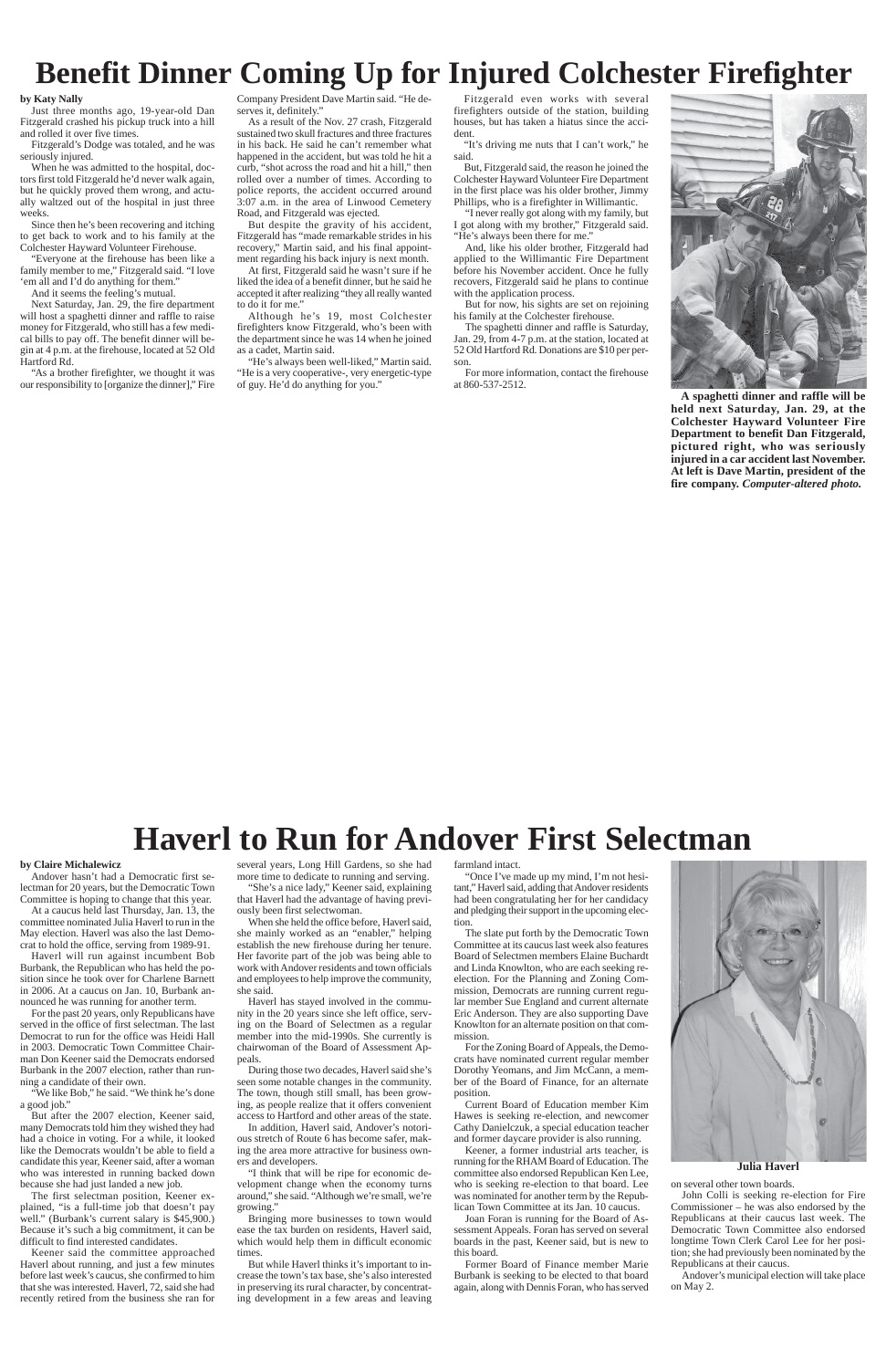## **Benefit Dinner Coming Up for Injured Colchester Firefighter**

**A spaghetti dinner and raffle will be held next Saturday, Jan. 29, at the Colchester Hayward Volunteer Fire Department to benefit Dan Fitzgerald, pictured right, who was seriously injured in a car accident last November. At left is Dave Martin, president of the fire company.** *Computer-altered photo.*

#### **by Katy Nally**

Just three months ago, 19-year-old Dan Fitzgerald crashed his pickup truck into a hill and rolled it over five times.

Fitzgerald's Dodge was totaled, and he was seriously injured.

When he was admitted to the hospital, doctors first told Fitzgerald he'd never walk again, but he quickly proved them wrong, and actually waltzed out of the hospital in just three weeks.

Since then he's been recovering and itching to get back to work and to his family at the Colchester Hayward Volunteer Firehouse.

"Everyone at the firehouse has been like a family member to me," Fitzgerald said. "I love 'em all and I'd do anything for them."

And it seems the feeling's mutual.

Next Saturday, Jan. 29, the fire department will host a spaghetti dinner and raffle to raise money for Fitzgerald, who still has a few medical bills to pay off. The benefit dinner will begin at 4 p.m. at the firehouse, located at 52 Old Hartford Rd.

"As a brother firefighter, we thought it was our responsibility to [organize the dinner]," Fire Company President Dave Martin said. "He deserves it, definitely."

> "I never really got along with my family, but I got along with my brother," Fitzgerald said. "He's always been there for me."

As a result of the Nov. 27 crash, Fitzgerald sustained two skull fractures and three fractures in his back. He said he can't remember what happened in the accident, but was told he hit a curb, "shot across the road and hit a hill," then rolled over a number of times. According to police reports, the accident occurred around 3:07 a.m. in the area of Linwood Cemetery Road, and Fitzgerald was ejected.

But despite the gravity of his accident, Fitzgerald has "made remarkable strides in his recovery," Martin said, and his final appointment regarding his back injury is next month.

At first, Fitzgerald said he wasn't sure if he liked the idea of a benefit dinner, but he said he accepted it after realizing "they all really wanted to do it for me."

Although he's 19, most Colchester firefighters know Fitzgerald, who's been with the department since he was 14 when he joined as a cadet, Martin said.

"He's always been well-liked," Martin said. "He is a very cooperative-, very energetic-type of guy. He'd do anything for you."

Fitzgerald even works with several firefighters outside of the station, building houses, but has taken a hiatus since the accident.

"It's driving me nuts that I can't work," he said.

But, Fitzgerald said, the reason he joined the Colchester Hayward Volunteer Fire Department in the first place was his older brother, Jimmy Phillips, who is a firefighter in Willimantic.

And, like his older brother, Fitzgerald had applied to the Willimantic Fire Department before his November accident. Once he fully recovers, Fitzgerald said he plans to continue with the application process.

But for now, his sights are set on rejoining his family at the Colchester firehouse.

The spaghetti dinner and raffle is Saturday, Jan. 29, from 4-7 p.m. at the station, located at 52 Old Hartford Rd. Donations are \$10 per person.

For more information, contact the firehouse at 860-537-2512.



## **Haverl to Run for Andover First Selectman**

**Julia Haverl**

#### **by Claire Michalewicz**

Andover hasn't had a Democratic first selectman for 20 years, but the Democratic Town Committee is hoping to change that this year.

At a caucus held last Thursday, Jan. 13, the committee nominated Julia Haverl to run in the May election. Haverl was also the last Democrat to hold the office, serving from 1989-91.

Haverl will run against incumbent Bob Burbank, the Republican who has held the position since he took over for Charlene Barnett in 2006. At a caucus on Jan. 10, Burbank announced he was running for another term. For the past 20 years, only Republicans have served in the office of first selectman. The last Democrat to run for the office was Heidi Hall in 2003. Democratic Town Committee Chairman Don Keener said the Democrats endorsed Burbank in the 2007 election, rather than running a candidate of their own. 'We like Bob," he said. "We think he's done a good job." But after the 2007 election, Keener said, many Democrats told him they wished they had had a choice in voting. For a while, it looked like the Democrats wouldn't be able to field a candidate this year, Keener said, after a woman who was interested in running backed down because she had just landed a new job. The first selectman position, Keener explained, "is a full-time job that doesn't pay well." (Burbank's current salary is \$45,900.) Because it's such a big commitment, it can be difficult to find interested candidates. Keener said the committee approached Haverl about running, and just a few minutes before last week's caucus, she confirmed to him that she was interested. Haverl, 72, said she had recently retired from the business she ran for several years, Long Hill Gardens, so she had more time to dedicate to running and serving.

"She's a nice lady," Keener said, explaining that Haverl had the advantage of having previously been first selectwoman.

When she held the office before, Haverl said, she mainly worked as an "enabler," helping establish the new firehouse during her tenure. Her favorite part of the job was being able to work with Andover residents and town officials and employees to help improve the community, she said.

Haverl has stayed involved in the commu-

nity in the 20 years since she left office, serving on the Board of Selectmen as a regular member into the mid-1990s. She currently is chairwoman of the Board of Assessment Appeals.

During those two decades, Haverl said she's seen some notable changes in the community. The town, though still small, has been growing, as people realize that it offers convenient access to Hartford and other areas of the state.

In addition, Haverl said, Andover's notorious stretch of Route 6 has become safer, making the area more attractive for business owners and developers.

"I think that will be ripe for economic development change when the economy turns around," she said. "Although we're small, we're growing."

Bringing more businesses to town would ease the tax burden on residents, Haverl said, which would help them in difficult economic times.

But while Haverl thinks it's important to increase the town's tax base, she's also interested in preserving its rural character, by concentrating development in a few areas and leaving farmland intact.

"Once I've made up my mind, I'm not hesitant," Haverl said, adding that Andover residents had been congratulating her for her candidacy and pledging their support in the upcoming election.

The slate put forth by the Democratic Town Committee at its caucus last week also features Board of Selectmen members Elaine Buchardt and Linda Knowlton, who are each seeking reelection. For the Planning and Zoning Commission, Democrats are running current regular member Sue England and current alternate Eric Anderson. They are also supporting Dave Knowlton for an alternate position on that commission. For the Zoning Board of Appeals, the Democrats have nominated current regular member Dorothy Yeomans, and Jim McCann, a member of the Board of Finance, for an alternate position.



Current Board of Education member Kim Hawes is seeking re-election, and newcomer Cathy Danielczuk, a special education teacher and former daycare provider is also running.

Keener, a former industrial arts teacher, is running for the RHAM Board of Education. The committee also endorsed Republican Ken Lee, who is seeking re-election to that board. Lee was nominated for another term by the Republican Town Committee at its Jan. 10 caucus.

Joan Foran is running for the Board of Assessment Appeals. Foran has served on several boards in the past, Keener said, but is new to this board.

Former Board of Finance member Marie Burbank is seeking to be elected to that board again, along with Dennis Foran, who has served on several other town boards.

John Colli is seeking re-election for Fire Commissioner – he was also endorsed by the Republicans at their caucus last week. The Democratic Town Committee also endorsed longtime Town Clerk Carol Lee for her position; she had previously been nominated by the Republicans at their caucus.

Andover's municipal election will take place on May 2.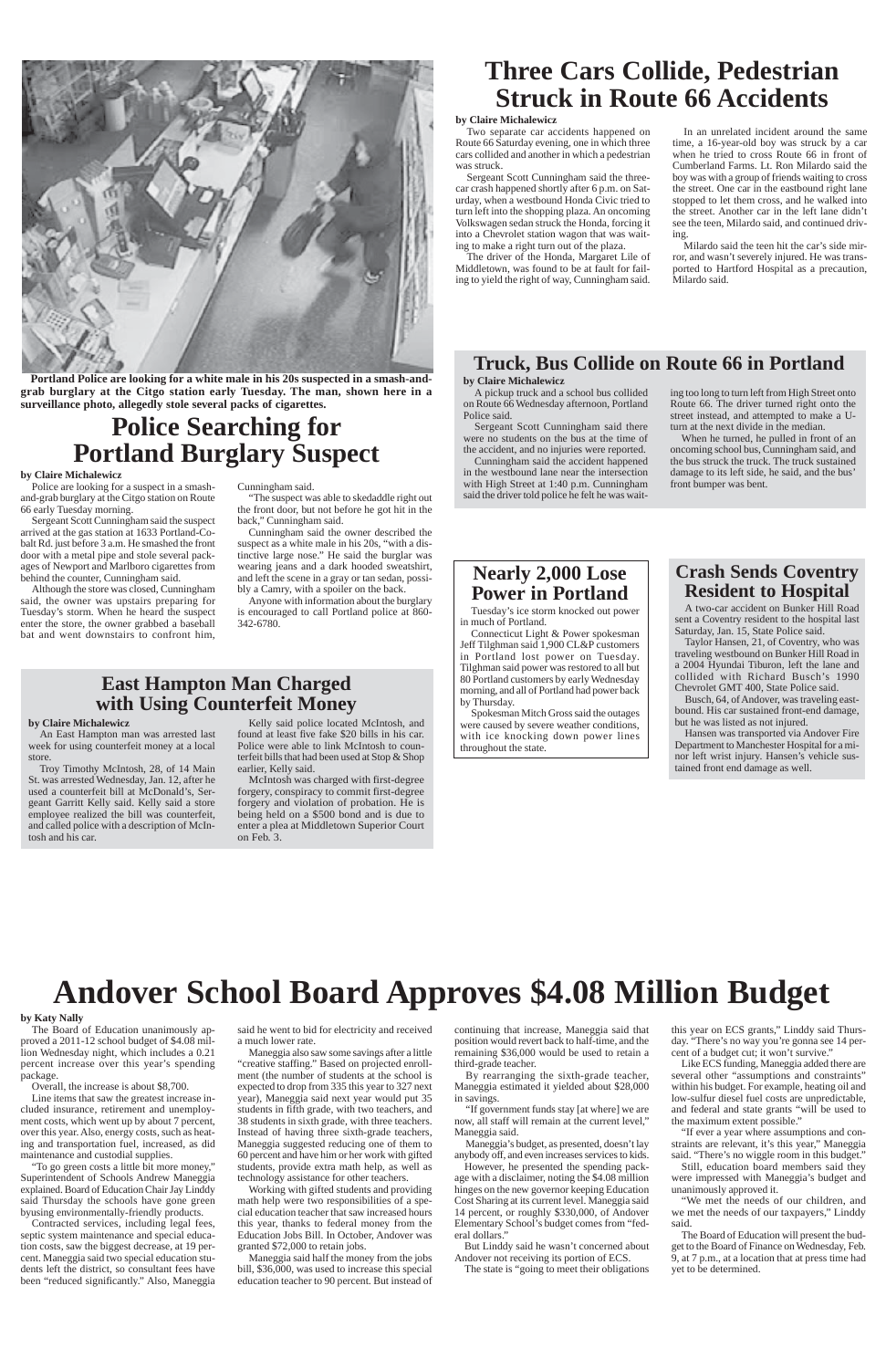

**Portland Police are looking for a white male in his 20s suspected in a smash-andgrab burglary at the Citgo station early Tuesday. The man, shown here in a surveillance photo, allegedly stole several packs of cigarettes.**

## **Police Searching for Portland Burglary Suspect**

## **Nearly 2,000 Lose Power in Portland**

Tuesday's ice storm knocked out power in much of Portland.

Connecticut Light & Power spokesman Jeff Tilghman said 1,900 CL&P customers in Portland lost power on Tuesday. Tilghman said power was restored to all but 80 Portland customers by early Wednesday morning, and all of Portland had power back by Thursday.

Spokesman Mitch Gross said the outages were caused by severe weather conditions, with ice knocking down power lines throughout the state.

## **Three Cars Collide, Pedestrian Struck in Route 66 Accidents**

## **Truck, Bus Collide on Route 66 in Portland**

#### **by Claire Michalewicz**

Police are looking for a suspect in a smashand-grab burglary at the Citgo station on Route 66 early Tuesday morning.

Sergeant Scott Cunningham said the suspect arrived at the gas station at 1633 Portland-Cobalt Rd. just before 3 a.m. He smashed the front door with a metal pipe and stole several packages of Newport and Marlboro cigarettes from behind the counter, Cunningham said.

Although the store was closed, Cunningham said, the owner was upstairs preparing for Tuesday's storm. When he heard the suspect enter the store, the owner grabbed a baseball bat and went downstairs to confront him,

Cunningham said.

"The suspect was able to skedaddle right out the front door, but not before he got hit in the back," Cunningham said.

Cunningham said the owner described the suspect as a white male in his 20s, "with a distinctive large nose." He said the burglar was wearing jeans and a dark hooded sweatshirt, and left the scene in a gray or tan sedan, possibly a Camry, with a spoiler on the back.

Anyone with information about the burglary is encouraged to call Portland police at 860- 342-6780.

#### **by Claire Michalewicz**

Two separate car accidents happened on Route 66 Saturday evening, one in which three cars collided and another in which a pedestrian was struck.

Sergeant Scott Cunningham said the threecar crash happened shortly after 6 p.m. on Saturday, when a westbound Honda Civic tried to turn left into the shopping plaza. An oncoming Volkswagen sedan struck the Honda, forcing it into a Chevrolet station wagon that was waiting to make a right turn out of the plaza.

The driver of the Honda, Margaret Lile of Middletown, was found to be at fault for failing to yield the right of way, Cunningham said.

In an unrelated incident around the same time, a 16-year-old boy was struck by a car when he tried to cross Route 66 in front of Cumberland Farms. Lt. Ron Milardo said the boy was with a group of friends waiting to cross the street. One car in the eastbound right lane stopped to let them cross, and he walked into the street. Another car in the left lane didn't see the teen, Milardo said, and continued driving.

Milardo said the teen hit the car's side mirror, and wasn't severely injured. He was transported to Hartford Hospital as a precaution, Milardo said.

#### **by Claire Michalewicz**

A pickup truck and a school bus collided on Route 66 Wednesday afternoon, Portland Police said.

Sergeant Scott Cunningham said there were no students on the bus at the time of the accident, and no injuries were reported.

Cunningham said the accident happened in the westbound lane near the intersection with High Street at 1:40 p.m. Cunningham said the driver told police he felt he was wait-

However, he presented the spending package with a disclaimer, noting the \$4.08 million hinges on the new governor keeping Education Cost Sharing at its current level. Maneggia said 14 percent, or roughly \$330,000, of Andover Elementary School's budget comes from "federal dollars."

ing too long to turn left from High Street onto Route 66. The driver turned right onto the street instead, and attempted to make a Uturn at the next divide in the median.

this year on ECS grants," Linddy said Thursday. "There's no way you're gonna see 14 percent of a budget cut; it won't survive."

When he turned, he pulled in front of an oncoming school bus, Cunningham said, and the bus struck the truck. The truck sustained damage to its left side, he said, and the bus' front bumper was bent.

### **Crash Sends Coventry Resident to Hospital**

A two-car accident on Bunker Hill Road sent a Coventry resident to the hospital last Saturday, Jan. 15, State Police said.

Taylor Hansen, 21, of Coventry, who was traveling westbound on Bunker Hill Road in a 2004 Hyundai Tiburon, left the lane and collided with Richard Busch's 1990 Chevrolet GMT 400, State Police said.

Busch, 64, of Andover, was traveling eastbound. His car sustained front-end damage, but he was listed as not injured.

Hansen was transported via Andover Fire Department to Manchester Hospital for a minor left wrist injury. Hansen's vehicle sustained front end damage as well.

## **Andover School Board Approves \$4.08 Million Budget**

#### **by Katy Nally**

The Board of Education unanimously approved a 2011-12 school budget of \$4.08 million Wednesday night, which includes a 0.21 percent increase over this year's spending package.

Overall, the increase is about \$8,700.

Line items that saw the greatest increase included insurance, retirement and unemployment costs, which went up by about 7 percent, over this year. Also, energy costs, such as heating and transportation fuel, increased, as did maintenance and custodial supplies.

"To go green costs a little bit more money," Superintendent of Schools Andrew Maneggia explained. Board of Education Chair Jay Linddy said Thursday the schools have gone green byusing environmentally-friendly products.

Contracted services, including legal fees, septic system maintenance and special education costs, saw the biggest decrease, at 19 percent. Maneggia said two special education students left the district, so consultant fees have been "reduced significantly." Also, Maneggia

said he went to bid for electricity and received a much lower rate.

Maneggia also saw some savings after a little "creative staffing." Based on projected enrollment (the number of students at the school is expected to drop from 335 this year to 327 next year), Maneggia said next year would put 35 students in fifth grade, with two teachers, and 38 students in sixth grade, with three teachers. Instead of having three sixth-grade teachers, Maneggia suggested reducing one of them to 60 percent and have him or her work with gifted students, provide extra math help, as well as technology assistance for other teachers.

Working with gifted students and providing math help were two responsibilities of a special education teacher that saw increased hours this year, thanks to federal money from the Education Jobs Bill. In October, Andover was granted \$72,000 to retain jobs.

Maneggia said half the money from the jobs bill, \$36,000, was used to increase this special education teacher to 90 percent. But instead of continuing that increase, Maneggia said that position would revert back to half-time, and the remaining \$36,000 would be used to retain a third-grade teacher.

By rearranging the sixth-grade teacher, Maneggia estimated it yielded about \$28,000 in savings.

"If government funds stay [at where] we are now, all staff will remain at the current level," Maneggia said.

Maneggia's budget, as presented, doesn't lay anybody off, and even increases services to kids.

But Linddy said he wasn't concerned about Andover not receiving its portion of ECS.

The state is "going to meet their obligations

Like ECS funding, Maneggia added there are several other "assumptions and constraints" within his budget. For example, heating oil and low-sulfur diesel fuel costs are unpredictable, and federal and state grants "will be used to the maximum extent possible."

"If ever a year where assumptions and constraints are relevant, it's this year," Maneggia said. "There's no wiggle room in this budget."

Still, education board members said they were impressed with Maneggia's budget and unanimously approved it.

"We met the needs of our children, and we met the needs of our taxpayers," Linddy said.

The Board of Education will present the budget to the Board of Finance on Wednesday, Feb. 9, at 7 p.m., at a location that at press time had yet to be determined.

## **East Hampton Man Charged with Using Counterfeit Money**

#### **by Claire Michalewicz**

An East Hampton man was arrested last week for using counterfeit money at a local store.

Troy Timothy McIntosh, 28, of 14 Main St. was arrested Wednesday, Jan. 12, after he used a counterfeit bill at McDonald's, Sergeant Garritt Kelly said. Kelly said a store employee realized the bill was counterfeit, and called police with a description of McIntosh and his car.

Kelly said police located McIntosh, and found at least five fake \$20 bills in his car. Police were able to link McIntosh to counterfeit bills that had been used at Stop & Shop earlier, Kelly said.

McIntosh was charged with first-degree forgery, conspiracy to commit first-degree forgery and violation of probation. He is being held on a \$500 bond and is due to enter a plea at Middletown Superior Court on Feb. 3.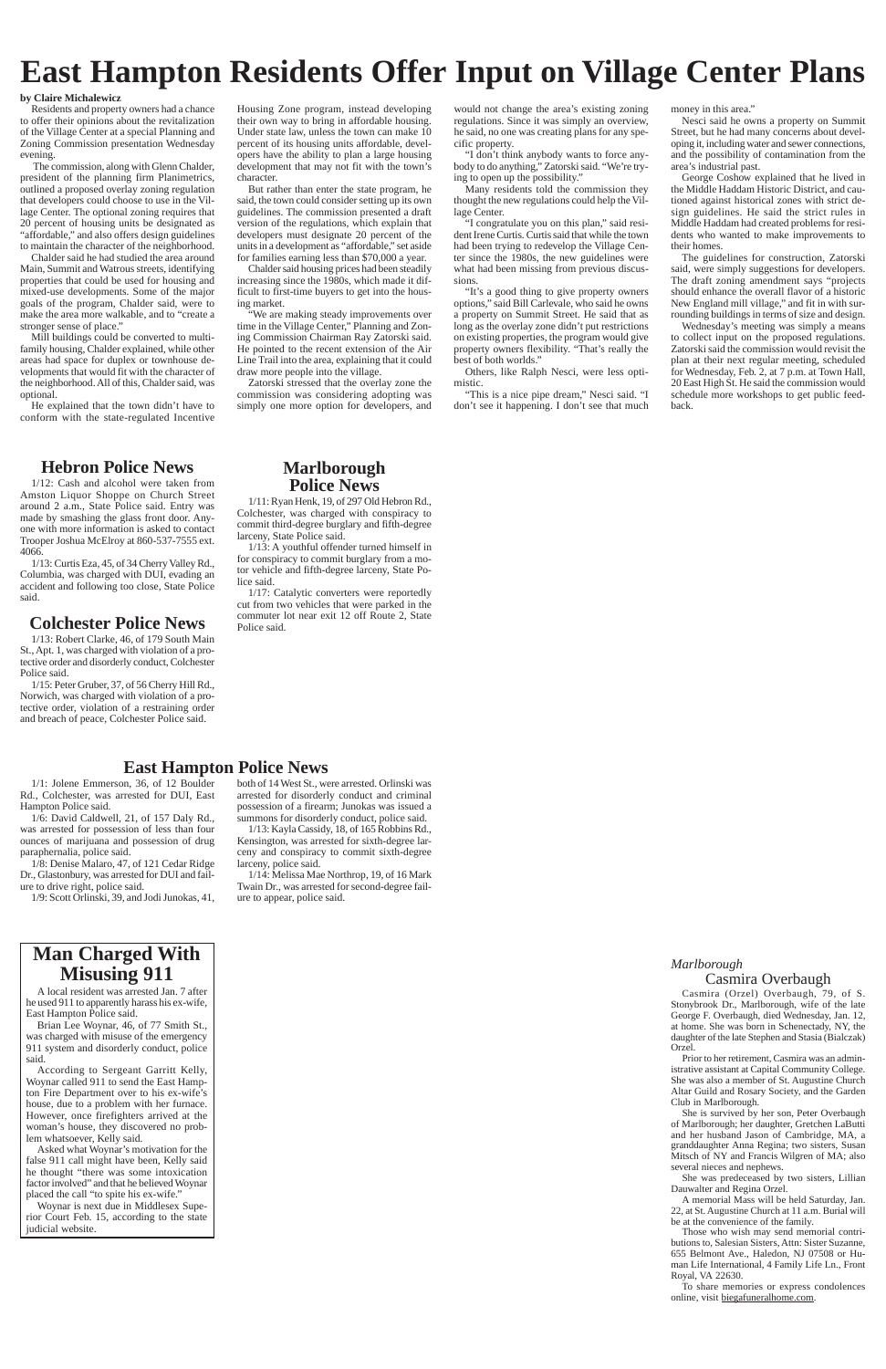## **East Hampton Residents Offer Input on Village Center Plans**

#### **by Claire Michalewicz**

Residents and property owners had a chance to offer their opinions about the revitalization of the Village Center at a special Planning and Zoning Commission presentation Wednesday evening.

 The commission, along with Glenn Chalder, president of the planning firm Planimetrics, outlined a proposed overlay zoning regulation that developers could choose to use in the Village Center. The optional zoning requires that 20 percent of housing units be designated as "affordable," and also offers design guidelines to maintain the character of the neighborhood.

Chalder said he had studied the area around Main, Summit and Watrous streets, identifying properties that could be used for housing and mixed-use developments. Some of the major goals of the program, Chalder said, were to make the area more walkable, and to "create a stronger sense of place."

Mill buildings could be converted to multifamily housing, Chalder explained, while other areas had space for duplex or townhouse developments that would fit with the character of the neighborhood. All of this, Chalder said, was optional.

He explained that the town didn't have to conform with the state-regulated Incentive Housing Zone program, instead developing their own way to bring in affordable housing. Under state law, unless the town can make 10 percent of its housing units affordable, developers have the ability to plan a large housing development that may not fit with the town's character.

But rather than enter the state program, he said, the town could consider setting up its own guidelines. The commission presented a draft version of the regulations, which explain that developers must designate 20 percent of the units in a development as "affordable," set aside for families earning less than \$70,000 a year.

Chalder said housing prices had been steadily increasing since the 1980s, which made it difficult to first-time buyers to get into the housing market.

"We are making steady improvements over time in the Village Center," Planning and Zoning Commission Chairman Ray Zatorski said. He pointed to the recent extension of the Air Line Trail into the area, explaining that it could draw more people into the village.

Zatorski stressed that the overlay zone the commission was considering adopting was simply one more option for developers, and

would not change the area's existing zoning regulations. Since it was simply an overview, he said, no one was creating plans for any specific property.

"I don't think anybody wants to force anybody to do anything," Zatorski said. "We're trying to open up the possibility."

1/17: Catalytic converters were reportedly cut from two vehicles that were parked in the commuter lot near exit 12 off Route 2, State

Many residents told the commission they thought the new regulations could help the Village Center.

"I congratulate you on this plan," said resident Irene Curtis. Curtis said that while the town had been trying to redevelop the Village Center since the 1980s, the new guidelines were what had been missing from previous discussions.

"It's a good thing to give property owners options," said Bill Carlevale, who said he owns a property on Summit Street. He said that as long as the overlay zone didn't put restrictions on existing properties, the program would give property owners flexibility. "That's really the best of both worlds."

Others, like Ralph Nesci, were less optimistic.

"This is a nice pipe dream," Nesci said. "I don't see it happening. I don't see that much money in this area."

Nesci said he owns a property on Summit Street, but he had many concerns about developing it, including water and sewer connections, and the possibility of contamination from the area's industrial past.

George Coshow explained that he lived in the Middle Haddam Historic District, and cautioned against historical zones with strict design guidelines. He said the strict rules in Middle Haddam had created problems for residents who wanted to make improvements to their homes.

The guidelines for construction, Zatorski said, were simply suggestions for developers. The draft zoning amendment says "projects should enhance the overall flavor of a historic New England mill village," and fit in with surrounding buildings in terms of size and design.

Wednesday's meeting was simply a means to collect input on the proposed regulations. Zatorski said the commission would revisit the plan at their next regular meeting, scheduled for Wednesday, Feb. 2, at 7 p.m. at Town Hall, 20 East High St. He said the commission would schedule more workshops to get public feedback.

### **Hebron Police News**

1/12: Cash and alcohol were taken from Amston Liquor Shoppe on Church Street around 2 a.m., State Police said. Entry was made by smashing the glass front door. Anyone with more information is asked to contact Trooper Joshua McElroy at 860-537-7555 ext. 4066.

1/13: Curtis Eza, 45, of 34 Cherry Valley Rd., Columbia, was charged with DUI, evading an accident and following too close, State Police said.

### **Colchester Police News** Police said.

**Marlborough Police News** 1/11: Ryan Henk, 19, of 297 Old Hebron Rd., Colchester, was charged with conspiracy to commit third-degree burglary and fifth-degree

larceny, State Police said.

1/13: A youthful offender turned himself in for conspiracy to commit burglary from a motor vehicle and fifth-degree larceny, State Po-

lice said.

1/13: Robert Clarke, 46, of 179 South Main St., Apt. 1, was charged with violation of a protective order and disorderly conduct, Colchester Police said.

1/15: Peter Gruber, 37, of 56 Cherry Hill Rd., Norwich, was charged with violation of a protective order, violation of a restraining order and breach of peace, Colchester Police said.

## **East Hampton Police News**

1/1: Jolene Emmerson, 36, of 12 Boulder Rd., Colchester, was arrested for DUI, East Hampton Police said.

1/6: David Caldwell, 21, of 157 Daly Rd., was arrested for possession of less than four ounces of marijuana and possession of drug paraphernalia, police said.

1/8: Denise Malaro, 47, of 121 Cedar Ridge Dr., Glastonbury, was arrested for DUI and failure to drive right, police said.

1/9: Scott Orlinski, 39, and Jodi Junokas, 41,

### both of 14 West St., were arrested. Orlinski was arrested for disorderly conduct and criminal possession of a firearm; Junokas was issued a

summons for disorderly conduct, police said. 1/13: Kayla Cassidy, 18, of 165 Robbins Rd., Kensington, was arrested for sixth-degree lar-

ceny and conspiracy to commit sixth-degree larceny, police said. 1/14: Melissa Mae Northrop, 19, of 16 Mark

Twain Dr., was arrested for second-degree failure to appear, police said.

> *Marlborough* Casmira Overbaugh Casmira (Orzel) Overbaugh, 79, of S. Stonybrook Dr., Marlborough, wife George F. Overbaugh, died Wednesday, Jan. 12, at home. She was born in Schenectady, NY, the daughter of the late Stephen and Stasia (Bialczak) Orzel. Prior to her retirement, Casmira was an administrative assistant at Capital Community College. She was also a member of St. Augustine Church Altar Guild and Rosary Society, and the Garden Club in Marlborough. She is survived by her son, Peter Overbaugh of Marlborough; her daughter, Gretchen LaButti and her husband Jason of Cambridge, MA, a granddaughter Anna Regina; two sisters, Susan Mitsch of NY and Francis Wilgren of MA; also several nieces and nephews. She was predeceased by two sisters, Lillian Dauwalter and Regina Orzel.

> A memorial Mass will be held Saturday, Jan. 22, at St. Augustine Church at 11 a.m. Burial will be at the convenience of the family.

> Those who wish may send memorial contributions to, Salesian Sisters, Attn: Sister Suzanne, 655 Belmont Ave., Haledon, NJ 07508 or Human Life International, 4 Family Life Ln., Front Royal, VA 22630.

> To share memories or express condolences online, visit biegafuneralhome.com.



A local resident was arrested Jan. 7 after he used 911 to apparently harass his ex-wife,

East Hampton Police said.

Brian Lee Woynar, 46, of 77 Smith St., was charged with misuse of the emergency 911 system and disorderly conduct, police said.

According to Sergeant Garritt Kelly, Woynar called 911 to send the East Hampton Fire Department over to his ex-wife's house, due to a problem with her furnace. However, once firefighters arrived at the woman's house, they discovered no problem whatsoever, Kelly said.

Asked what Woynar's motivation for the false 911 call might have been, Kelly said he thought "there was some intoxication factor involved" and that he believed Woynar placed the call "to spite his ex-wife."

Woynar is next due in Middlesex Superior Court Feb. 15, according to the state judicial website.